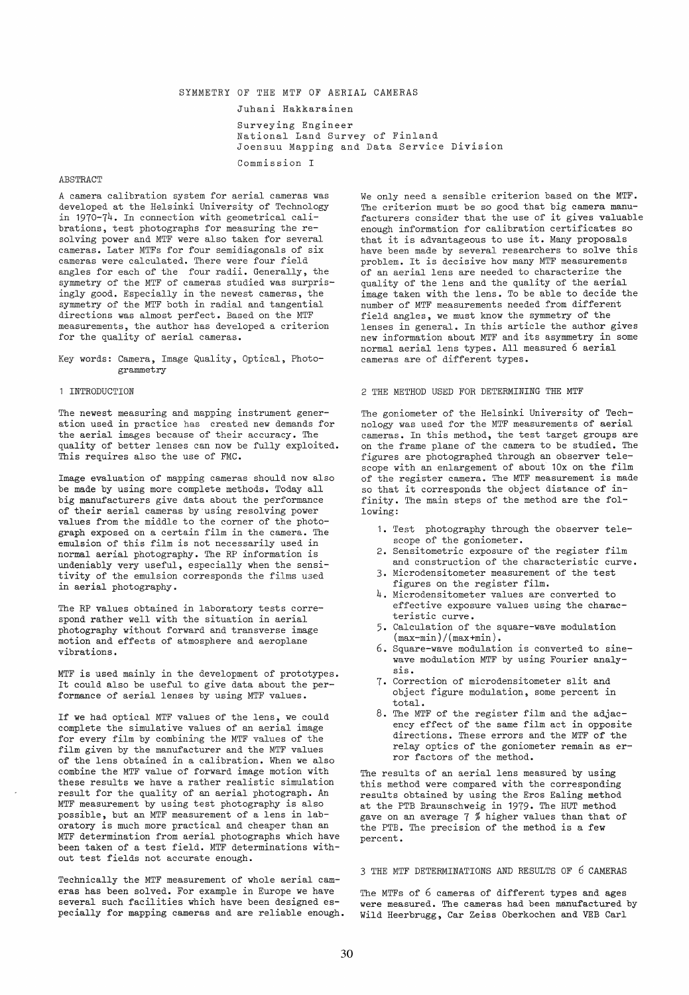## SYMMETRY OF THE MTF OF AERIAL CAMERAS

#### Juhani Hakkarainen

Surveying Engineer National Land Survey of Finland Joensuu Mapping and Data Service Division Commission I

### ABSTRACT

A camera calibration system for aerial cameras was developed at the Helsinki University of Technology in 1970-74. In connection with geometrical calibrations, test photographs for measuring the resolving power and MTF were also taken for several cameras. Later MTFs for four semidiagonals of six cameras were calculated. There were four field angles for each of the four radii. Generally, the symmetry of the MTF of cameras studied was surprisingly good. Especially in the newest cameras, the symmetry of the MTF both in radial and tangential directions was almost perfect. Based on the MTF measurements, the author has developed a criterion for the quality of aerial cameras.

Key words: Camera, Image Quality, Optical, Photogrammetry

#### 1 INTRODUCTION

The newest measuring and mapping instrument generation used in practice has created new demands for the aerial images because of their accuracy. The quality of better lenses can now be fully exploited. This requires also the use of FMC.

Image evaluation of mapping cameras should now also be made by using more complete methods. Today all big manufacturers give data about the performance of their aerial cameras byusing resolving power values from the middle to the corner of the photograph exposed on a certain film in the camera. The emulsion of this film is not necessarily used in normal aerial photography. The RP information is undeniably very useful, especially when the sensitivity of the emulsion corresponds the films used in aerial photography.

The RP values obtained in laboratory tests correspond rather well with the situation in aerial photography without forward and transverse image motion and effects of atmosphere and aeroplane vibrations.

MTF is used mainly in the development of prototypes. It could also be useful to give data about the performance of aerial lenses by using MTF values.

If we had optical MTF values of the lens, we could complete the simulative values of an aerial image for every film by combining the MTF values of the film given by the manufacturer and the MTF values of the lens obtained in a calibration. When we also combine the MTF value of forward image motion with these results we have a rather realistic simulation result for the quality of an aerial photograph. An MTF measurement by using test photography is also possible, but an MTF measurement of a lens in laboratory is much more practical and cheaper than an MTF determination from aerial photographs which have been taken of a test field. MTF determinations without test fields not accurate enough.

Technically the MTF measurement of whole aerial cameras has been solved. For example in Europe we have several such facilities which have been designed especially for mapping cameras and are reliable enough. We only need a sensible criterion based on the MTF. The criterion must be so good that big camera manufacturers consider that the use of it gives valuable enough information for calibration certificates so that it is advantageous to use it. Many proposals have been made by several researchers to solve this problem. It is decisive how many MTF measurements of an aerial lens are needed to characterize the quality of the lens and the quality of the aerial image taken with the lens. To be able to decide the number of MTF measurements needed from different field angles, we must know the symmetry of the lenses in general. In this article the author gives new information about MTF and its asymmetry in some normal aerial lens types. All measured 6 aerial cameras are of different types.

#### 2 THE METHOD USED FOR DETERMINING THE MTF

The goniometer of the Helsinki University of Technology was used for the MTF measurements of aerial cameras. In this method, the test target groups are on the frame plane of the camera to be studied. The figures are photographed through an observer telescope with an enlargement of about 10x on the film of the register camera. The MTF measurement is made so that it corresponds the object distance of infinity. The main steps of the method are the following:

- 1. Test photography through the observer telescope of the goniometer.
- 2. Sensitometric exposure of the register film and construction of the characteristic curve.
- 3. Microdensitometer measurement of the test figures on the register film.
- 4. Microdensitometer values are converted to effective exposure values using the characteristic curve.
- 5. Calculation of the square-wave modulation  $(\text{max-min})/(\text{max+min}).$
- 6. Square-wave modulation is converted to sinewave modulation MTF by using Fourier analysis.
- 7. Correction of microdensitometer slit and object figure modulation, some percent in total.
- 8. The MTF of the register film and the adjacency effect of the same film act in opposite directions. These errors and the MTF of the relay optics of the goniometer remain as error factors of the method.

The results of an aerial lens measured by using this method were compared with the corresponding results obtained by using the Eros Ealing method at the PTB Braunschweig in 1979. The HUT method gave on an average 7 % higher values than that of the PTB. The precision of the method is a few percent.

3 THE MTF DETERMINATIONS AND RESULTS OF 6 CAMERAS

The MTFs of 6 cameras of different types and ages were measured. The cameras had been manufactured by Wild Heerbrugg, Car Zeiss Oberkochen and VEB Carl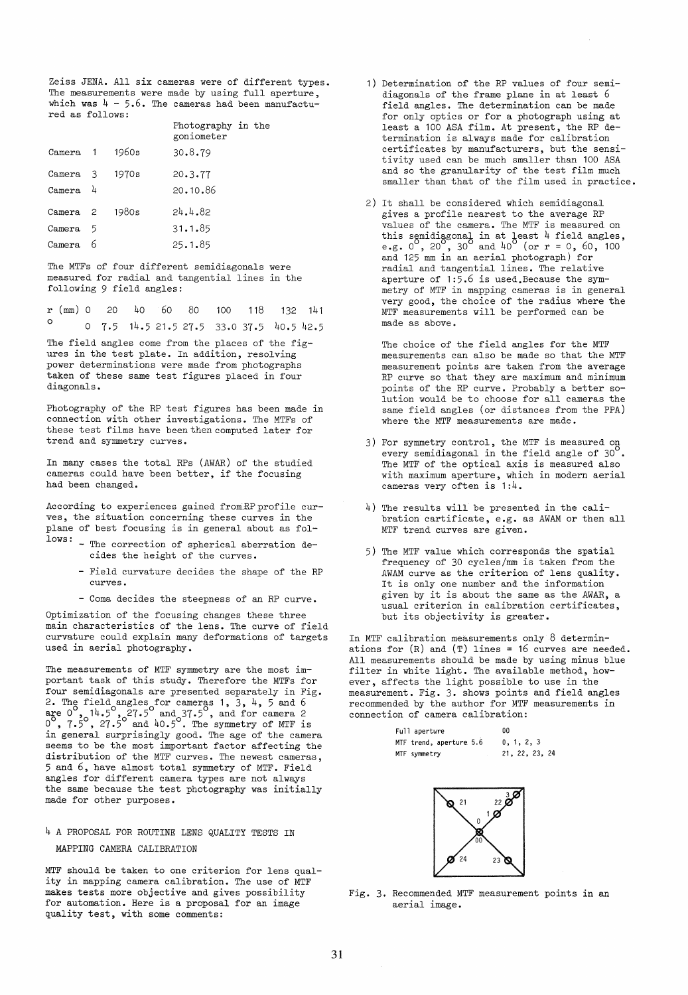Zeiss JENA. All six cameras were of different types. The measurements were made by using full aperture, which was  $4 - 5.6$ . The cameras had been manufactured as folIows:

|   |                                          | goniometer |                    |
|---|------------------------------------------|------------|--------------------|
|   | 1960s                                    | 30.8.79    |                    |
| 3 | 1970s                                    | 20.3.77    |                    |
| 4 |                                          | 20.10.86   |                    |
|   | 1980s                                    | 24.4.82    |                    |
| 5 |                                          | 31.1.85    |                    |
|   |                                          | 25.1.85    |                    |
|   | Camera 1<br>Camera<br>Camera<br>Camera 2 |            | Photography in the |

The MTFs of four different semidiagonals were measured for radial and tangential lines in the following 9 field angles:

|         |  |  |  | $r$ (mm) 0 20 40 60 80 100 118 132 141     |  |  |
|---------|--|--|--|--------------------------------------------|--|--|
| $\circ$ |  |  |  | $0$ 7.5 14.5 21.5 27.5 33.0 37.5 40.5 42.5 |  |  |

The field angles come from the places of the figures in the test plate. In addition, resolving power determinations were made from photographs taken of these same test figures placed in four diagonals.

Photography of the RP test figures has been made in connection with other investigations. The MTFs of these test films have been then computed later for trend and symmetry curves.

In many cases the total RPs (AWAR) of the studied cameras could have been better, if the focusing had been changed.

According to experiences gained from RP profile curves, the situation concerning these curves in the plane of best focusing is in general about as fol-

- lows: The correction of spherical aberration decides the height of the curves.
	- Field curvature decides the shape of the RP curves.
	- Coma decides the steepness of an RP curve.

Optimization of the focusing changes these three main characteristics of the lens. The curve of field curvature could explain many deformations of targets used in aerial photography.

The measurements of MTF symmetry are the most important task of this study. Therefore the MTFs for four semidiagonals are presented separately in Fig. 2. The field angles for cameras 1, 3, 4, 5 and 6 are  $0^{\circ}$ ,  $14.5^{\circ}$ ,  $27.5^{\circ}$  and  $37.5^{\circ}$ , and for camera 2  $0^{\circ}$ ,  $7.5^{\circ}$ ,  $27.5^{\circ}$  and  $40.5^{\circ}$ . The symmetry of MTF is in general surprisingly good. The age of the camera seems to be the most important factor affecting the distribution of the MTF curves. The newest cameras, 5 and 6, have almost total symmetry of MTF. Field angles for different camera types are not always the same because the test photography was initially made for other purposes.

# 4 A PROPOSAL FOR ROUTINE LENS QUALITY TESTS IN MAPPING CAMERA CALIBRATION

MTF should be taken to one criterion for lens quality in mapping camera calibration. The use of MTF makes tests more objective and gives possibility for automation. Here is a proposal for an image quality test, with some comments:

- 1) Determination of the RP values of four semidiagonals of the frame plane in at least 6 field angles. The determination can be made for only optics or for a photograph using at least a 100 ASA film. At present, the RP determination is always made for calibration certificates by manufacturers, but the sensitivity used can be much smaller than 100 ASA and so the granularity of the test film much smaller than that of the film used in practice.
- 2) It shall be considered which semidiagonal gives a profile nearest to the average RP values of the camera. The MTF is measured on this semidiagonal in at least 4 field angles, e.g.  $0^{\circ}$ ,  $20^{\circ}$ ,  $30^{\circ}$  and  $40^{\circ}$  (or  $r = 0$ , 60, 100 and 125 mm in an aerial photograph) for radial and tangential lines. The relative aperture of 1:5.6 is used.Because the symmetry of MTF in mapping cameras is in general very good, the choice of the radius where the MTF measurements will be performed can be made as above.

The choice of the field angles for the MTF measurements can also be made so that the MTF measurement points are taken from the average RP curve so that they are maximum and minimum points of the RP curve. Probably a better solution would be to choose for all cameras the same field angles (or distances from the PPA) where the MTF measurements are made.

- 3) For symmetry control, the MTF is measured on every semidiagonal in the field angle of  $30^{\circ}$ . The MTF of the optical axis is measured also with maximum aperture, which in modern aerial cameras very often is 1:4.
- 4) The results will be presented in the calibration cartificate, e.g. as AWAM or then all MTF trend curves are given.
- 5) The MTF value which corresponds the spatial frequency of 30 cycles/mm is taken from the AWAM curve as the criterion of lens quality. It is only one number and the information given by it is about the same as the AWAR, a usual criterion in calibration certificates, but its objectivity is greater.

In MTF calibration measurements only 8 determinations for  $(R)$  and  $(T)$  lines = 16 curves are needed. All measurements should be made by using minus blue filter in white light. The available method, however, affects the light possible to use in the measurement. Fig. 3. shows points and field angles recommended by the author for MTF measurements in connection of camera calibration:

| Full aperture           | ٥o             |  |  |  |
|-------------------------|----------------|--|--|--|
| MTF trend, aperture 5.6 | 0, 1, 2, 3     |  |  |  |
| MTF symmetry            | 21, 22, 23, 24 |  |  |  |



Fig. 3. Recommended MTF measurement points in an aerial image.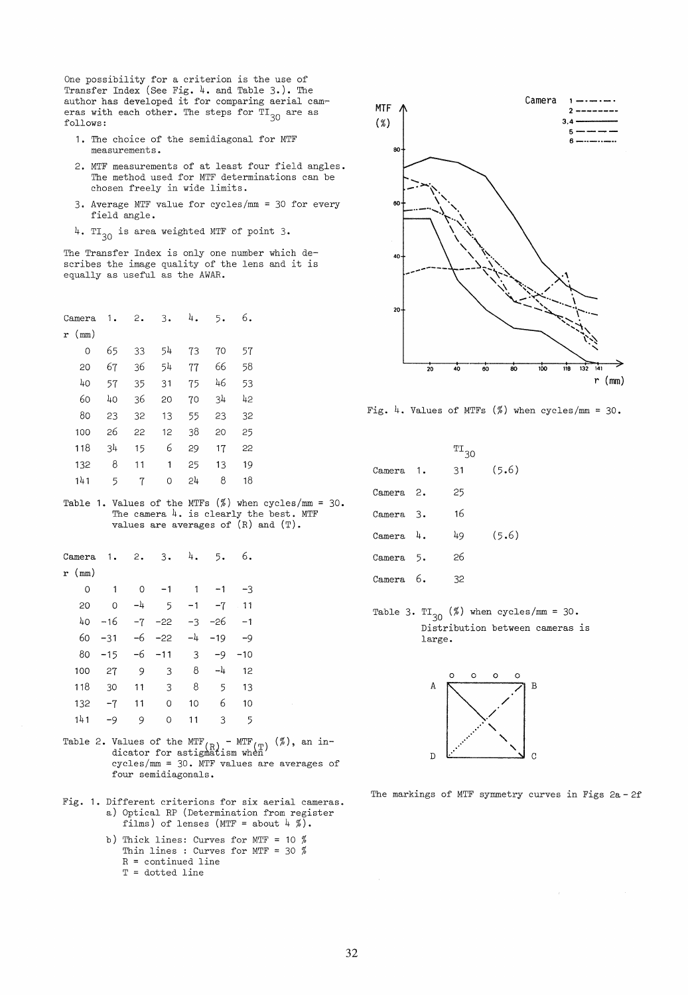One possibility for a criterion is the use of Transfer Index (See Fig. 4. and Table 3.). The author has developed it for comparing aerial cam~ eras with each other. The steps for  $TI_{30}$  are as folIows:

- 1. The choice of the semidiagonal for MTF measurements.
- 2. MTF measurements of at least four field angles. The method used for MTF determinations can be chosen freely in wide limits.
- 3. Average MTF value for cycles/mm = 30 for every field angle.
- 4. TI<sub>30</sub> is area weighted MTF of point 3.

The Transfer Index is only one number which de-scribes the image quality of the lens and it is equally as useful as the AWAR.

| Camera       | 1. | 2. | 3. | 4. | 5. | 6. |  |
|--------------|----|----|----|----|----|----|--|
| $r \pmod{r}$ |    |    |    |    |    |    |  |
| 0            | 65 | 33 | 54 | 73 | 70 | 57 |  |
| 20           | 67 | 36 | 54 | 77 | 66 | 58 |  |
| 40           | 57 | 35 | 31 | 75 | 46 | 53 |  |
| 60           | 40 | 36 | 20 | 70 | 34 | 42 |  |
| 80           | 23 | 32 | 13 | 55 | 23 | 32 |  |
| 100          | 26 | 22 | 12 | 38 | 20 | 25 |  |
| 118          | 34 | 15 | 6  | 29 | 17 | 22 |  |
| 132          | 8  | 11 | 1  | 25 | 13 | 19 |  |
| 141          | 5  | 7  | 0  | 24 | 8  | 18 |  |
|              |    |    |    |    |    |    |  |

Table 1. Values of the MTFs  $(\%)$  when cycles/mm = 30. The camera 4. is clearly the best. MTF values are averages of (R) and (T).

| Camera | 1.    | 2.       | 3.    | 4.             | 5.    | 6.    |  |
|--------|-------|----------|-------|----------------|-------|-------|--|
| r (mm) |       |          |       |                |       |       |  |
| 0      | 1     | $\Omega$ | $-1$  | 1              | $-1$  | -3    |  |
| 20     | 0     | -4       | 5     | $-1$           | $-7$  | 11    |  |
| 40     | $-16$ | $-7$     | $-22$ | $-3$           | -26   | -1    |  |
| 60     | $-31$ | -6       | $-22$ | $-\frac{1}{4}$ | $-19$ | $-9$  |  |
| 80     | $-15$ | -6       | $-11$ | 3              | $-9$  | $-10$ |  |
| 100    | 27    | 9        | 3     | 8              | -4    | 12    |  |
| 118    | 30    | 11       | 3     | 8              | 5     | 13    |  |
| 132    | $-7$  | 11       | 0     | 10             | 6     | 10    |  |
| 141    | $-9$  | 9        | 0     | 11             | 3     | 5     |  |
|        |       |          |       |                |       |       |  |

- Table 2. Values of the MTF<sub>(R)</sub> MTF<sub>(T)</sub> (%), an in-<br>dicator for astignatism when cycles/mm = 30. MTF values are averages of four semidiagonals.
- Fig. 1. Different criterions for six aerial cameras. a) Optical RP (Determination from register films) of lenses (MTF = about  $4 \frac{\pi}{6}$ .
	- b) Thick lines: Curves for MTF = 10  $%$ Thin lines : Curves for MTF = 30 %  $R =$  continued line  $T = dotted line$



Fig. 4. Values of MTFs  $(\%)$  when cycles/mm = 30.

|           | $T_{30}$ |       |
|-----------|----------|-------|
| Camera 1. | 31       | (5.6) |
| Camera 2. | 25       |       |
| Camera 3. | 16       |       |
| Camera 4. | 49       | (5.6) |
| Camera 5. | 26       |       |
| Camera 6. | 32       |       |

Table 3. TI<sub>30</sub> (%) when cycles/mm = 30. Distribution between cameras is large.



The markings of MTF symmetry curves in Figs 2a - 2f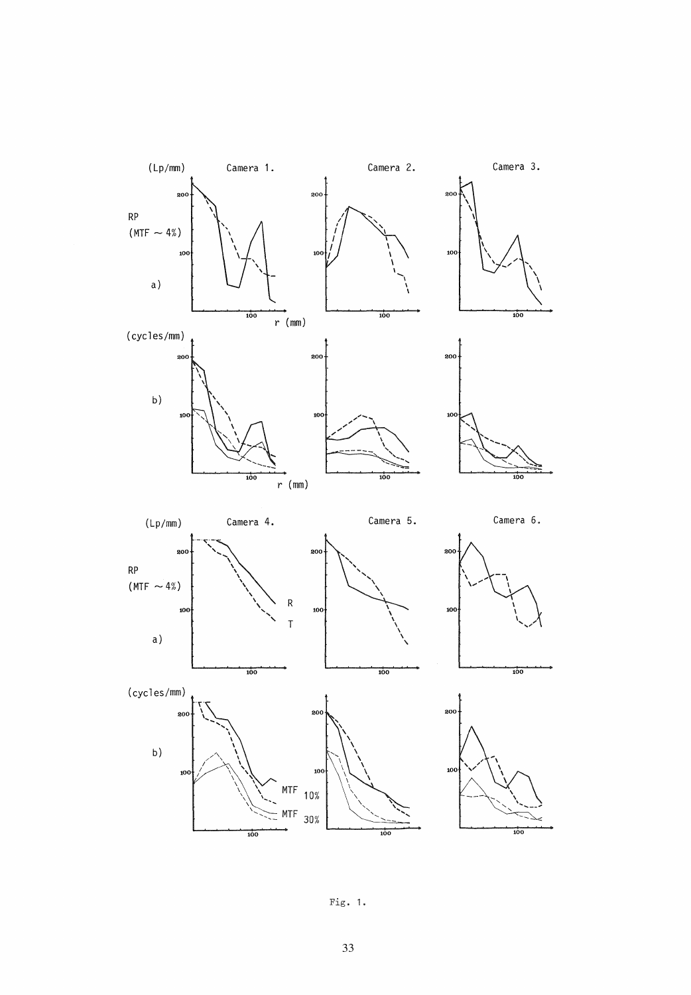

Fig. 1.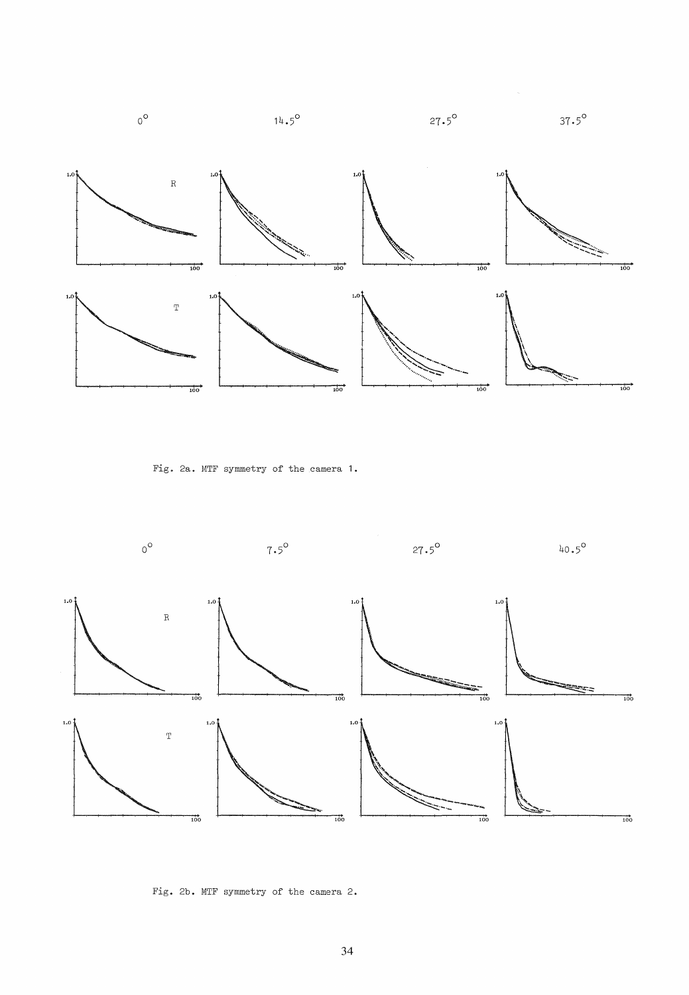

Fig. 2a. MTF symmetry of the camera 1.



Fig. 2b. MTF symmetry of the camera 2.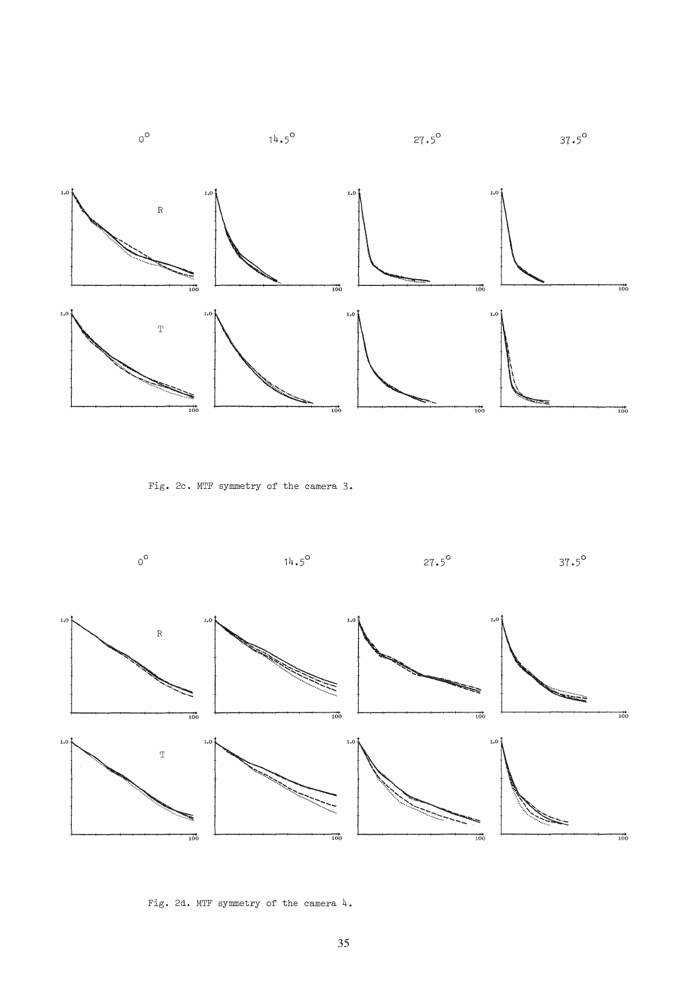

Fig. 2c. MTF symmetry of the camera 3.



Fig. 2d. MTF symmetry of the camera 4.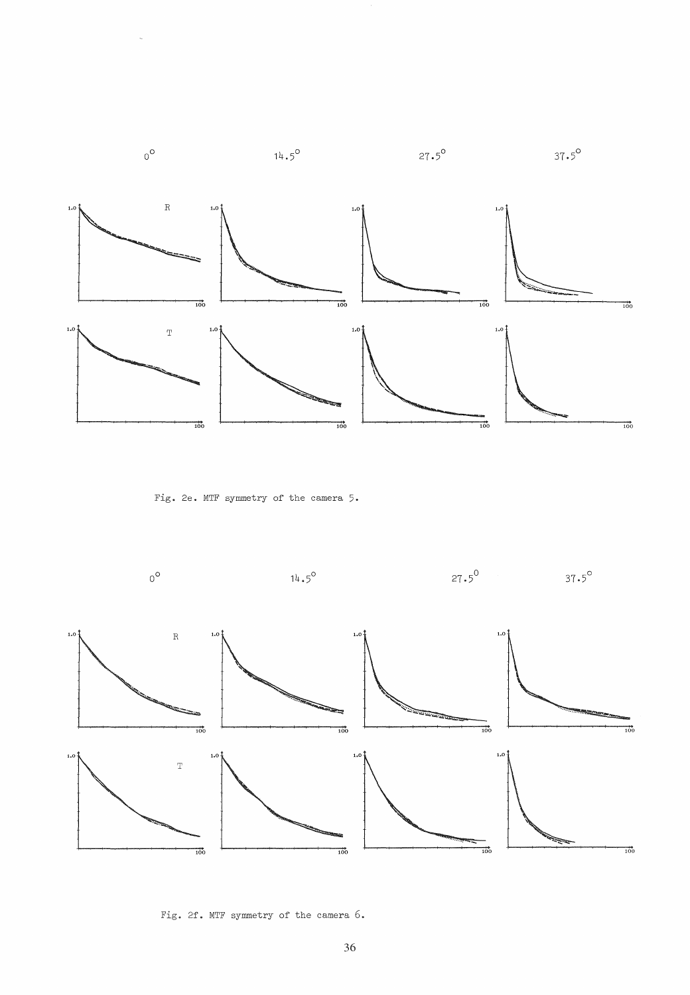

Fig. 2e. MTF symmetry of the camera 5.



Fig. 2f. MTF symmetry of the camera 6.